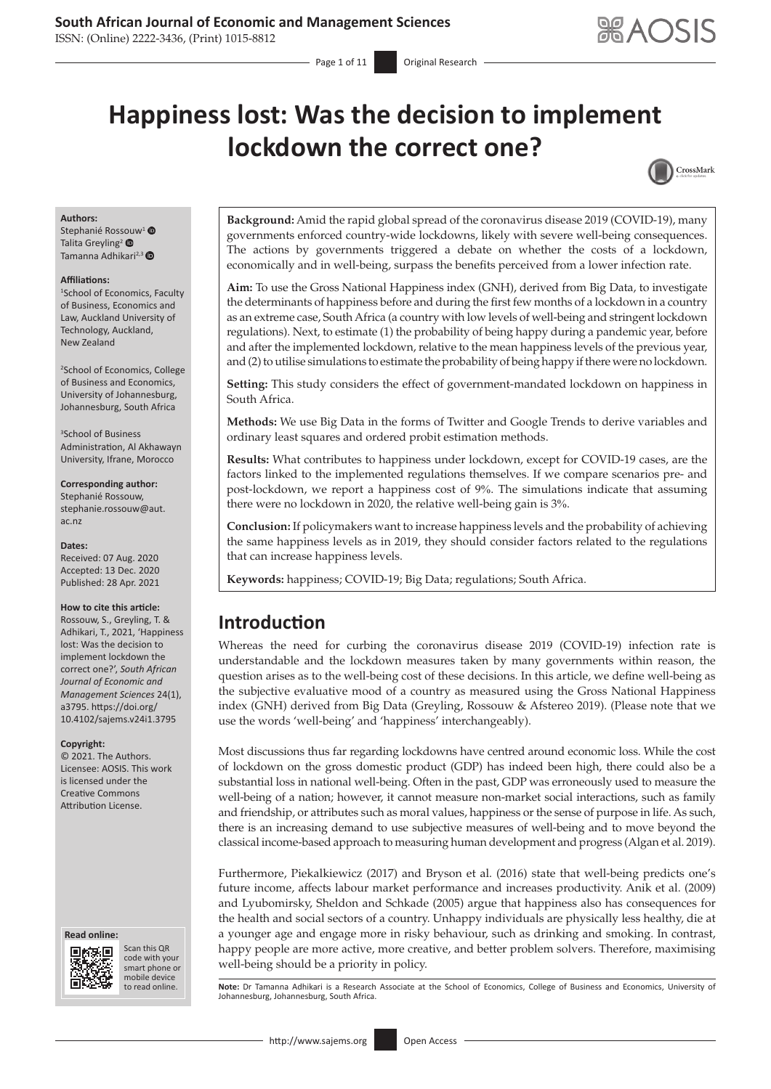ISSN: (Online) 2222-3436, (Print) 1015-8812

# **Happiness lost: Was the decision to implement lockdown the correct one?**



#### **Authors:**

Stephanié Ros[souw](http://orcid.org/0000-0002-3777-7003)<sup>[1](http://orcid.org/0000-0003-3538-9215)</sup> Talita Greyling<sup>2</sup> Tamanna Adhikari<sup>2,3</sup>

#### **Affiliations:**

1 School of Economics, Faculty of Business, Economics and Law, Auckland University of Technology, Auckland, New Zealand

2 School of Economics, College of Business and Economics, University of Johannesburg, Johannesburg, South Africa

3 School of Business Administration, Al Akhawayn University, Ifrane, Morocco

**Corresponding author:** Stephanié Rossouw, [stephanie.rossouw@aut.](mailto:stephanie.rossouw@aut.ac.nz) [ac.nz](mailto:stephanie.rossouw@aut.ac.nz)

#### **Dates:**

Received: 07 Aug. 2020 Accepted: 13 Dec. 2020 Published: 28 Apr. 2021

#### **How to cite this article:**

Rossouw, S., Greyling, T. & Adhikari, T., 2021, 'Happiness lost: Was the decision to implement lockdown the correct one?', *South African Journal of Economic and Management Sciences* 24(1), a3795. [https://doi.org/](https://doi.org/10.4102/sajems.v24i1.3795) [10.4102/sajems.v24i1.3795](https://doi.org/10.4102/sajems.v24i1.3795)

#### **Copyright:**

© 2021. The Authors. Licensee: AOSIS. This work is licensed under the Creative Commons Attribution License.

#### **Read online: Read online:**



Scan this QR Scan this QR code with your smart phone or code with your smart phone or mobile device mobile device to read online.

**Background:** Amid the rapid global spread of the coronavirus disease 2019 (COVID-19), many governments enforced country-wide lockdowns, likely with severe well-being consequences. The actions by governments triggered a debate on whether the costs of a lockdown, economically and in well-being, surpass the benefits perceived from a lower infection rate.

**Aim:** To use the Gross National Happiness index (GNH), derived from Big Data, to investigate the determinants of happiness before and during the first few months of a lockdown in a country as an extreme case, South Africa (a country with low levels of well-being and stringent lockdown regulations). Next, to estimate (1) the probability of being happy during a pandemic year, before and after the implemented lockdown, relative to the mean happiness levels of the previous year, and (2) to utilise simulations to estimate the probability of being happy if there were no lockdown.

**Setting:** This study considers the effect of government-mandated lockdown on happiness in South Africa.

**Methods:** We use Big Data in the forms of Twitter and Google Trends to derive variables and ordinary least squares and ordered probit estimation methods.

**Results:** What contributes to happiness under lockdown, except for COVID-19 cases, are the factors linked to the implemented regulations themselves. If we compare scenarios pre- and post-lockdown, we report a happiness cost of 9%. The simulations indicate that assuming there were no lockdown in 2020, the relative well-being gain is 3%.

**Conclusion:** If policymakers want to increase happiness levels and the probability of achieving the same happiness levels as in 2019, they should consider factors related to the regulations that can increase happiness levels.

**Keywords:** happiness; COVID-19; Big Data; regulations; South Africa.

# **Introduction**

Whereas the need for curbing the coronavirus disease 2019 (COVID-19) infection rate is understandable and the lockdown measures taken by many governments within reason, the question arises as to the well-being cost of these decisions. In this article, we define well-being as the subjective evaluative mood of a country as measured using the Gross National Happiness index (GNH) derived from Big Data (Greyling, Rossouw & Afstereo 2019). (Please note that we use the words 'well-being' and 'happiness' interchangeably).

Most discussions thus far regarding lockdowns have centred around economic loss. While the cost of lockdown on the gross domestic product (GDP) has indeed been high, there could also be a substantial loss in national well-being. Often in the past, GDP was erroneously used to measure the well-being of a nation; however, it cannot measure non-market social interactions, such as family and friendship, or attributes such as moral values, happiness or the sense of purpose in life. As such, there is an increasing demand to use subjective measures of well-being and to move beyond the classical income-based approach to measuring human development and progress (Algan et al. 2019).

Furthermore, Piekalkiewicz (2017) and Bryson et al. (2016) state that well-being predicts one's future income, affects labour market performance and increases productivity. Anik et al. (2009) and Lyubomirsky, Sheldon and Schkade (2005) argue that happiness also has consequences for the health and social sectors of a country. Unhappy individuals are physically less healthy, die at a younger age and engage more in risky behaviour, such as drinking and smoking. In contrast, happy people are more active, more creative, and better problem solvers. Therefore, maximising well-being should be a priority in policy.

Note: Dr Tamanna Adhikari is a Research Associate at the School of Economics, College of Business and Economics, University of Johannesburg, Johannesburg, South Africa.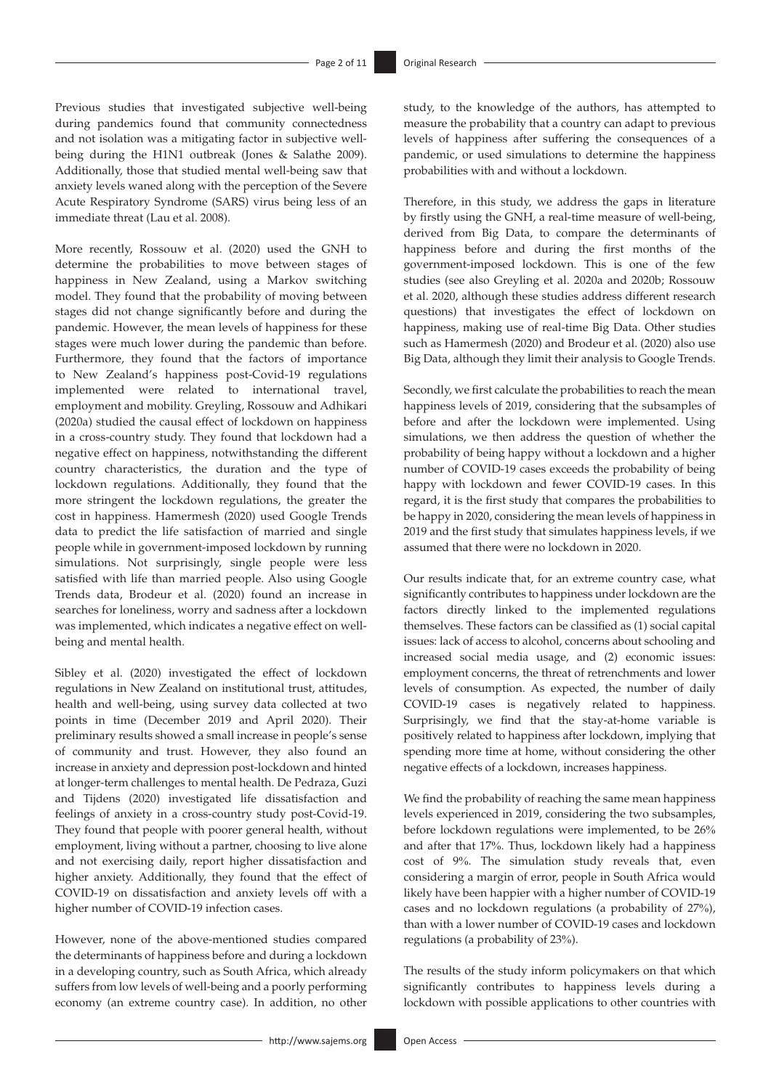Previous studies that investigated subjective well-being during pandemics found that community connectedness and not isolation was a mitigating factor in subjective wellbeing during the H1N1 outbreak (Jones & Salathe 2009). Additionally, those that studied mental well-being saw that anxiety levels waned along with the perception of the Severe Acute Respiratory Syndrome (SARS) virus being less of an immediate threat (Lau et al. 2008).

More recently, Rossouw et al. (2020) used the GNH to determine the probabilities to move between stages of happiness in New Zealand, using a Markov switching model. They found that the probability of moving between stages did not change significantly before and during the pandemic. However, the mean levels of happiness for these stages were much lower during the pandemic than before. Furthermore, they found that the factors of importance to New Zealand's happiness post-Covid-19 regulations implemented were related to international travel, employment and mobility. Greyling, Rossouw and Adhikari (2020a) studied the causal effect of lockdown on happiness in a cross-country study. They found that lockdown had a negative effect on happiness, notwithstanding the different country characteristics, the duration and the type of lockdown regulations. Additionally, they found that the more stringent the lockdown regulations, the greater the cost in happiness. Hamermesh (2020) used Google Trends data to predict the life satisfaction of married and single people while in government-imposed lockdown by running simulations. Not surprisingly, single people were less satisfied with life than married people. Also using Google Trends data, Brodeur et al. (2020) found an increase in searches for loneliness, worry and sadness after a lockdown was implemented, which indicates a negative effect on wellbeing and mental health.

Sibley et al. (2020) investigated the effect of lockdown regulations in New Zealand on institutional trust, attitudes, health and well-being, using survey data collected at two points in time (December 2019 and April 2020). Their preliminary results showed a small increase in people's sense of community and trust. However, they also found an increase in anxiety and depression post-lockdown and hinted at longer-term challenges to mental health. De Pedraza, Guzi and Tijdens (2020) investigated life dissatisfaction and feelings of anxiety in a cross-country study post-Covid-19. They found that people with poorer general health, without employment, living without a partner, choosing to live alone and not exercising daily, report higher dissatisfaction and higher anxiety. Additionally, they found that the effect of COVID-19 on dissatisfaction and anxiety levels off with a higher number of COVID-19 infection cases.

However, none of the above-mentioned studies compared the determinants of happiness before and during a lockdown in a developing country, such as South Africa, which already suffers from low levels of well-being and a poorly performing economy (an extreme country case). In addition, no other study, to the knowledge of the authors, has attempted to measure the probability that a country can adapt to previous levels of happiness after suffering the consequences of a pandemic, or used simulations to determine the happiness probabilities with and without a lockdown.

Therefore, in this study, we address the gaps in literature by firstly using the GNH, a real-time measure of well-being, derived from Big Data, to compare the determinants of happiness before and during the first months of the government-imposed lockdown. This is one of the few studies (see also Greyling et al. 2020a and 2020b; Rossouw et al. 2020, although these studies address different research questions) that investigates the effect of lockdown on happiness, making use of real-time Big Data. Other studies such as Hamermesh (2020) and Brodeur et al. (2020) also use Big Data, although they limit their analysis to Google Trends.

Secondly, we first calculate the probabilities to reach the mean happiness levels of 2019, considering that the subsamples of before and after the lockdown were implemented. Using simulations, we then address the question of whether the probability of being happy without a lockdown and a higher number of COVID-19 cases exceeds the probability of being happy with lockdown and fewer COVID-19 cases. In this regard, it is the first study that compares the probabilities to be happy in 2020, considering the mean levels of happiness in 2019 and the first study that simulates happiness levels, if we assumed that there were no lockdown in 2020.

Our results indicate that, for an extreme country case, what significantly contributes to happiness under lockdown are the factors directly linked to the implemented regulations themselves. These factors can be classified as (1) social capital issues: lack of access to alcohol, concerns about schooling and increased social media usage, and (2) economic issues: employment concerns, the threat of retrenchments and lower levels of consumption. As expected, the number of daily COVID-19 cases is negatively related to happiness. Surprisingly, we find that the stay-at-home variable is positively related to happiness after lockdown, implying that spending more time at home, without considering the other negative effects of a lockdown, increases happiness.

We find the probability of reaching the same mean happiness levels experienced in 2019, considering the two subsamples, before lockdown regulations were implemented, to be 26% and after that 17%. Thus, lockdown likely had a happiness cost of 9%. The simulation study reveals that, even considering a margin of error, people in South Africa would likely have been happier with a higher number of COVID-19 cases and no lockdown regulations (a probability of 27%), than with a lower number of COVID-19 cases and lockdown regulations (a probability of 23%).

The results of the study inform policymakers on that which significantly contributes to happiness levels during a lockdown with possible applications to other countries with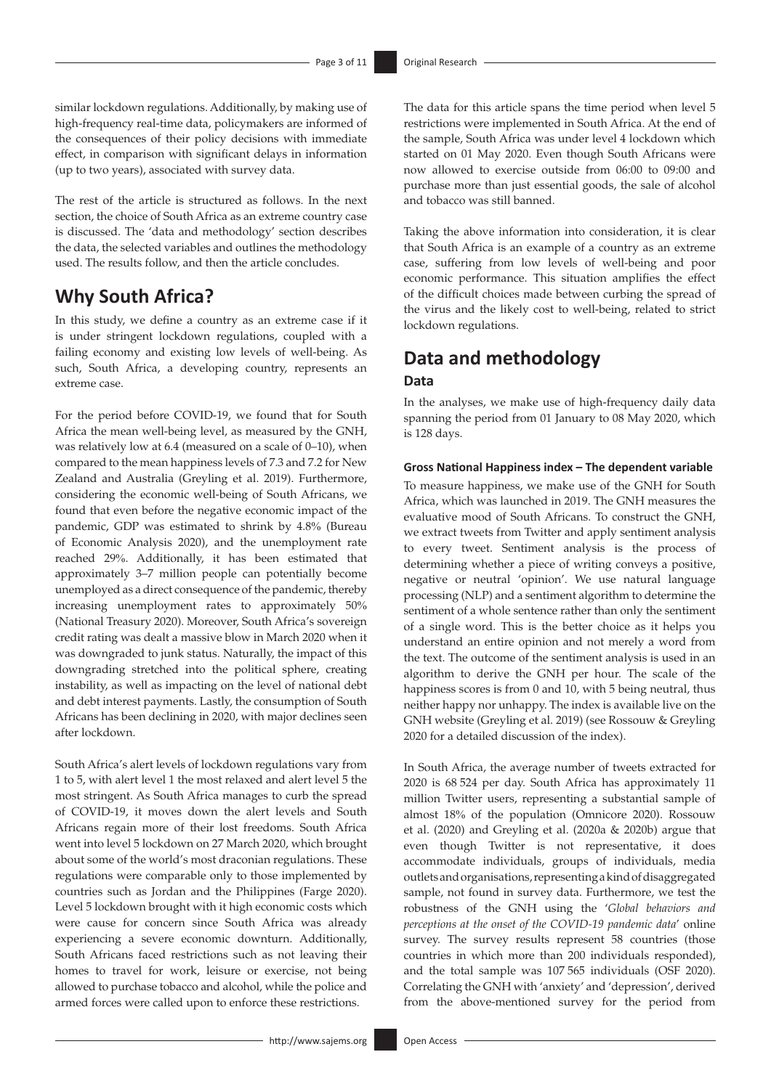similar lockdown regulations. Additionally, by making use of high-frequency real-time data, policymakers are informed of the consequences of their policy decisions with immediate effect, in comparison with significant delays in information (up to two years), associated with survey data.

The rest of the article is structured as follows. In the next section, the choice of South Africa as an extreme country case is discussed. The 'data and methodology' section describes the data, the selected variables and outlines the methodology used. The results follow, and then the article concludes.

# **Why South Africa?**

In this study, we define a country as an extreme case if it is under stringent lockdown regulations, coupled with a failing economy and existing low levels of well-being. As such, South Africa, a developing country, represents an extreme case.

For the period before COVID-19, we found that for South Africa the mean well-being level, as measured by the GNH, was relatively low at 6.4 (measured on a scale of 0–10), when compared to the mean happiness levels of 7.3 and 7.2 for New Zealand and Australia (Greyling et al. 2019). Furthermore, considering the economic well-being of South Africans, we found that even before the negative economic impact of the pandemic, GDP was estimated to shrink by 4.8% (Bureau of Economic Analysis 2020), and the unemployment rate reached 29%. Additionally, it has been estimated that approximately 3–7 million people can potentially become unemployed as a direct consequence of the pandemic, thereby increasing unemployment rates to approximately 50% (National Treasury 2020). Moreover, South Africa's sovereign credit rating was dealt a massive blow in March 2020 when it was downgraded to junk status. Naturally, the impact of this downgrading stretched into the political sphere, creating instability, as well as impacting on the level of national debt and debt interest payments. Lastly, the consumption of South Africans has been declining in 2020, with major declines seen after lockdown.

South Africa's alert levels of lockdown regulations vary from 1 to 5, with alert level 1 the most relaxed and alert level 5 the most stringent. As South Africa manages to curb the spread of COVID-19, it moves down the alert levels and South Africans regain more of their lost freedoms. South Africa went into level 5 lockdown on 27 March 2020, which brought about some of the world's most draconian regulations. These regulations were comparable only to those implemented by countries such as Jordan and the Philippines (Farge 2020). Level 5 lockdown brought with it high economic costs which were cause for concern since South Africa was already experiencing a severe economic downturn. Additionally, South Africans faced restrictions such as not leaving their homes to travel for work, leisure or exercise, not being allowed to purchase tobacco and alcohol, while the police and armed forces were called upon to enforce these restrictions.

The data for this article spans the time period when level 5 restrictions were implemented in South Africa. At the end of the sample, South Africa was under level 4 lockdown which started on 01 May 2020. Even though South Africans were now allowed to exercise outside from 06:00 to 09:00 and purchase more than just essential goods, the sale of alcohol and tobacco was still banned.

Taking the above information into consideration, it is clear that South Africa is an example of a country as an extreme case, suffering from low levels of well-being and poor economic performance. This situation amplifies the effect of the difficult choices made between curbing the spread of the virus and the likely cost to well-being, related to strict lockdown regulations.

# **Data and methodology Data**

In the analyses, we make use of high-frequency daily data spanning the period from 01 January to 08 May 2020, which is 128 days.

#### **Gross National Happiness index – The dependent variable**

To measure happiness, we make use of the GNH for South Africa, which was launched in 2019. The GNH measures the evaluative mood of South Africans. To construct the GNH, we extract tweets from Twitter and apply sentiment analysis to every tweet. Sentiment analysis is the process of determining whether a piece of writing conveys a positive, negative or neutral 'opinion'. We use natural language processing (NLP) and a sentiment algorithm to determine the sentiment of a whole sentence rather than only the sentiment of a single word. This is the better choice as it helps you understand an entire opinion and not merely a word from the text. The outcome of the sentiment analysis is used in an algorithm to derive the GNH per hour. The scale of the happiness scores is from 0 and 10, with 5 being neutral, thus neither happy nor unhappy. The index is available live on the GNH website (Greyling et al. 2019) (see Rossouw & Greyling 2020 for a detailed discussion of the index).

In South Africa, the average number of tweets extracted for 2020 is 68 524 per day. South Africa has approximately 11 million Twitter users, representing a substantial sample of almost 18% of the population (Omnicore 2020). Rossouw et al. (2020) and Greyling et al. (2020a & 2020b) argue that even though Twitter is not representative, it does accommodate individuals, groups of individuals, media outlets and organisations, representing a kind of disaggregated sample, not found in survey data. Furthermore, we test the robustness of the GNH using the '*Global behaviors and perceptions at the onset of the COVID-19 pandemic data*' online survey. The survey results represent 58 countries (those countries in which more than 200 individuals responded), and the total sample was 107 565 individuals (OSF 2020). Correlating the GNH with 'anxiety' and 'depression', derived from the above-mentioned survey for the period from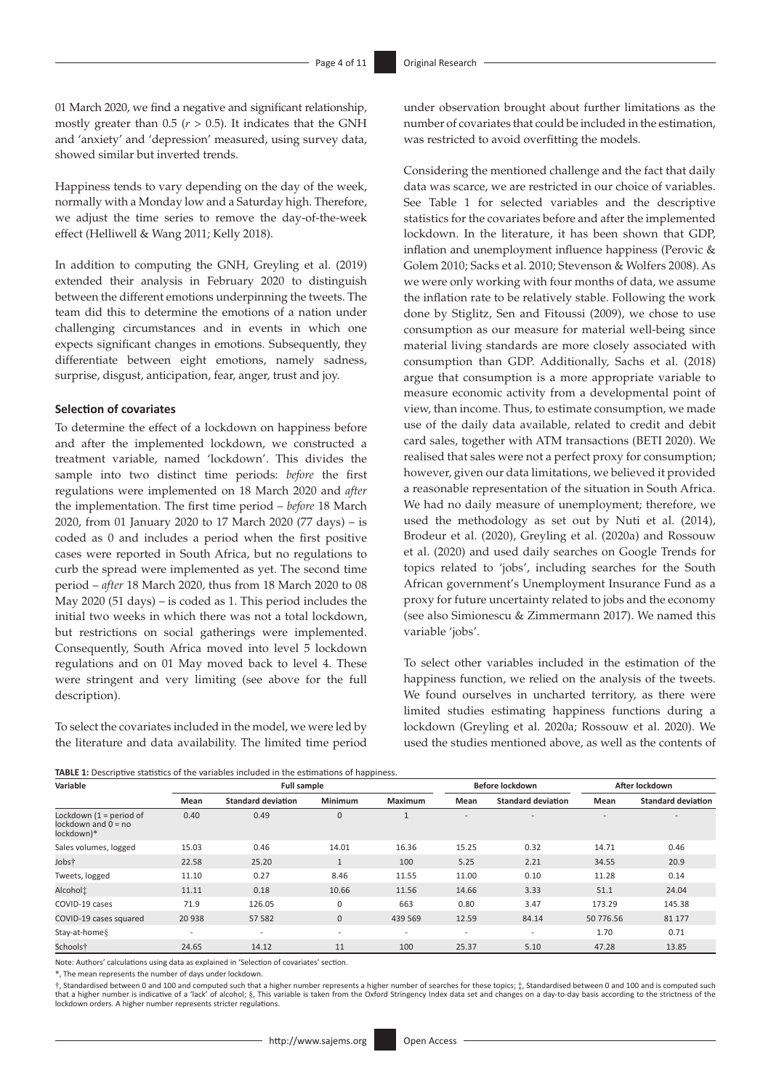01 March 2020, we find a negative and significant relationship, mostly greater than  $0.5$  ( $r > 0.5$ ). It indicates that the GNH and 'anxiety' and 'depression' measured, using survey data, showed similar but inverted trends.

Happiness tends to vary depending on the day of the week, normally with a Monday low and a Saturday high. Therefore, we adjust the time series to remove the day-of-the-week effect (Helliwell & Wang 2011; Kelly 2018).

In addition to computing the GNH, Greyling et al. (2019) extended their analysis in February 2020 to distinguish between the different emotions underpinning the tweets. The team did this to determine the emotions of a nation under challenging circumstances and in events in which one expects significant changes in emotions. Subsequently, they differentiate between eight emotions, namely sadness, surprise, disgust, anticipation, fear, anger, trust and joy.

#### **Selection of covariates**

To determine the effect of a lockdown on happiness before and after the implemented lockdown, we constructed a treatment variable, named 'lockdown'. This divides the sample into two distinct time periods: *before* the first regulations were implemented on 18 March 2020 and *after* the implementation. The first time period – *before* 18 March 2020, from 01 January 2020 to 17 March 2020 (77 days) – is coded as 0 and includes a period when the first positive cases were reported in South Africa, but no regulations to curb the spread were implemented as yet. The second time period – *after* 18 March 2020, thus from 18 March 2020 to 08 May 2020 (51 days) – is coded as 1. This period includes the initial two weeks in which there was not a total lockdown, but restrictions on social gatherings were implemented. Consequently, South Africa moved into level 5 lockdown regulations and on 01 May moved back to level 4. These were stringent and very limiting (see above for the full description).

To select the covariates included in the model, we were led by the literature and data availability. The limited time period under observation brought about further limitations as the number of covariates that could be included in the estimation, was restricted to avoid overfitting the models.

Considering the mentioned challenge and the fact that daily data was scarce, we are restricted in our choice of variables. See Table 1 for selected variables and the descriptive statistics for the covariates before and after the implemented lockdown. In the literature, it has been shown that GDP, inflation and unemployment influence happiness (Perovic & Golem 2010; Sacks et al. 2010; Stevenson & Wolfers 2008). As we were only working with four months of data, we assume the inflation rate to be relatively stable. Following the work done by Stiglitz, Sen and Fitoussi (2009), we chose to use consumption as our measure for material well-being since material living standards are more closely associated with consumption than GDP. Additionally, Sachs et al. (2018) argue that consumption is a more appropriate variable to measure economic activity from a developmental point of view, than income. Thus, to estimate consumption, we made use of the daily data available, related to credit and debit card sales, together with ATM transactions (BETI 2020). We realised that sales were not a perfect proxy for consumption; however, given our data limitations, we believed it provided a reasonable representation of the situation in South Africa. We had no daily measure of unemployment; therefore, we used the methodology as set out by Nuti et al. (2014), Brodeur et al. (2020), Greyling et al. (2020a) and Rossouw et al. (2020) and used daily searches on Google Trends for topics related to 'jobs', including searches for the South African government's Unemployment Insurance Fund as a proxy for future uncertainty related to jobs and the economy (see also Simionescu & Zimmermann 2017). We named this variable 'iobs'.

To select other variables included in the estimation of the happiness function, we relied on the analysis of the tweets. We found ourselves in uncharted territory, as there were limited studies estimating happiness functions during a lockdown (Greyling et al. 2020a; Rossouw et al. 2020). We used the studies mentioned above, as well as the contents of

**TABLE 1:** Descriptive statistics of the variables included in the estimations of happiness.

| Variable                                                         | <b>Full sample</b>       |                           |                          |                          | Before lockdown          |                           | After lockdown |                           |
|------------------------------------------------------------------|--------------------------|---------------------------|--------------------------|--------------------------|--------------------------|---------------------------|----------------|---------------------------|
|                                                                  | Mean                     | <b>Standard deviation</b> | <b>Minimum</b>           | <b>Maximum</b>           | Mean                     | <b>Standard deviation</b> | Mean           | <b>Standard deviation</b> |
| Lockdown $(1 = period of$<br>lockdown and $0 = no$<br>lockdown)* | 0.40                     | 0.49                      | $\mathbf{0}$             |                          | $\overline{\phantom{a}}$ | $\overline{\phantom{a}}$  | $\overline{a}$ |                           |
| Sales volumes, logged                                            | 15.03                    | 0.46                      | 14.01                    | 16.36                    | 15.25                    | 0.32                      | 14.71          | 0.46                      |
| Jobst                                                            | 22.58                    | 25.20                     | $\mathbf{1}$             | 100                      | 5.25                     | 2.21                      | 34.55          | 20.9                      |
| Tweets, logged                                                   | 11.10                    | 0.27                      | 8.46                     | 11.55                    | 11.00                    | 0.10                      | 11.28          | 0.14                      |
| Alcoholi                                                         | 11.11                    | 0.18                      | 10.66                    | 11.56                    | 14.66                    | 3.33                      | 51.1           | 24.04                     |
| COVID-19 cases                                                   | 71.9                     | 126.05                    | 0                        | 663                      | 0.80                     | 3.47                      | 173.29         | 145.38                    |
| COVID-19 cases squared                                           | 20 938                   | 57 582                    | $\mathbf 0$              | 439 569                  | 12.59                    | 84.14                     | 50 776.56      | 81 177                    |
| Stay-at-home §                                                   | $\overline{\phantom{a}}$ | $\overline{\phantom{a}}$  | $\overline{\phantom{a}}$ | $\overline{\phantom{a}}$ | $\overline{\phantom{a}}$ | $\overline{\phantom{a}}$  | 1.70           | 0.71                      |
| Schoolst                                                         | 24.65                    | 14.12                     | 11                       | 100                      | 25.37                    | 5.10                      | 47.28          | 13.85                     |

Note: Authors' calculations using data as explained in 'Selection of covariates' section.

\*, The mean represents the number of days under lockdown.

†, Standardised between 0 and 100 and computed such that a higher number represents a higher number of searches for these topics; ‡, Standardised between 0 and 100 and is computed such that a higher number is indicative of a 'lack' of alcohol; §, This variable is taken from the Oxford Stringency Index data set and changes on a day-to-day basis according to the strictness of the lockdown orders. A higher number represents stricter regulations.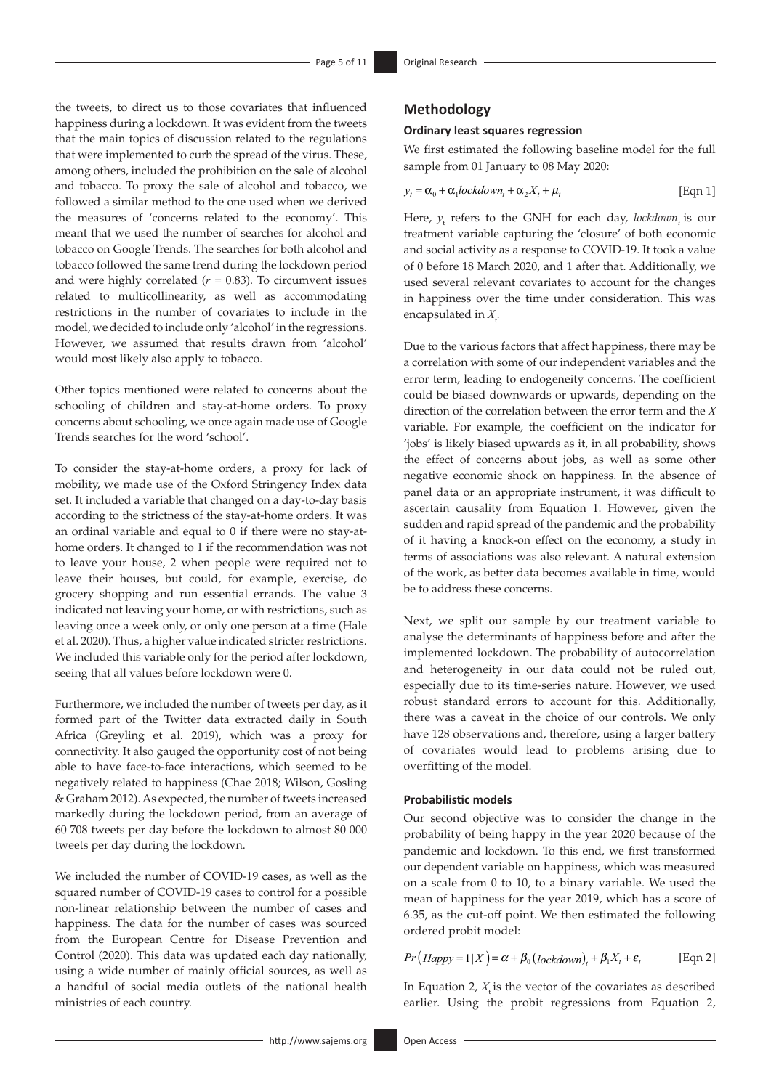the tweets, to direct us to those covariates that influenced happiness during a lockdown. It was evident from the tweets that the main topics of discussion related to the regulations that were implemented to curb the spread of the virus. These, among others, included the prohibition on the sale of alcohol and tobacco. To proxy the sale of alcohol and tobacco, we followed a similar method to the one used when we derived the measures of 'concerns related to the economy'. This meant that we used the number of searches for alcohol and tobacco on Google Trends. The searches for both alcohol and tobacco followed the same trend during the lockdown period and were highly correlated  $(r = 0.83)$ . To circumvent issues related to multicollinearity, as well as accommodating restrictions in the number of covariates to include in the model, we decided to include only 'alcohol' in the regressions. However, we assumed that results drawn from 'alcohol' would most likely also apply to tobacco.

Other topics mentioned were related to concerns about the schooling of children and stay-at-home orders. To proxy concerns about schooling, we once again made use of Google Trends searches for the word 'school'.

To consider the stay-at-home orders, a proxy for lack of mobility, we made use of the Oxford Stringency Index data set. It included a variable that changed on a day-to-day basis according to the strictness of the stay-at-home orders. It was an ordinal variable and equal to 0 if there were no stay-athome orders. It changed to 1 if the recommendation was not to leave your house, 2 when people were required not to leave their houses, but could, for example, exercise, do grocery shopping and run essential errands. The value 3 indicated not leaving your home, or with restrictions, such as leaving once a week only, or only one person at a time (Hale et al. 2020). Thus, a higher value indicated stricter restrictions. We included this variable only for the period after lockdown, seeing that all values before lockdown were 0.

Furthermore, we included the number of tweets per day, as it formed part of the Twitter data extracted daily in South Africa (Greyling et al. 2019), which was a proxy for connectivity. It also gauged the opportunity cost of not being able to have face-to-face interactions, which seemed to be negatively related to happiness (Chae 2018; Wilson, Gosling & Graham 2012). As expected, the number of tweets increased markedly during the lockdown period, from an average of 60 708 tweets per day before the lockdown to almost 80 000 tweets per day during the lockdown.

We included the number of COVID-19 cases, as well as the squared number of COVID-19 cases to control for a possible non-linear relationship between the number of cases and happiness. The data for the number of cases was sourced from the European Centre for Disease Prevention and Control (2020). This data was updated each day nationally, using a wide number of mainly official sources, as well as a handful of social media outlets of the national health ministries of each country.

### **Methodology**

#### **Ordinary least squares regression**

We first estimated the following baseline model for the full sample from 01 January to 08 May 2020:

$$
y_t = \alpha_0 + \alpha_1 lockdown_t + \alpha_2 X_t + \mu_t
$$
 [Eqn 1]

Here,  $y_t$  refers to the GNH for each day, *lockdown*<sub>t</sub> is our treatment variable capturing the 'closure' of both economic and social activity as a response to COVID-19. It took a value of 0 before 18 March 2020, and 1 after that. Additionally, we used several relevant covariates to account for the changes in happiness over the time under consideration. This was encapsulated in  $X_t$ .

Due to the various factors that affect happiness, there may be a correlation with some of our independent variables and the error term, leading to endogeneity concerns. The coefficient could be biased downwards or upwards, depending on the direction of the correlation between the error term and the *X*  variable. For example, the coefficient on the indicator for 'jobs' is likely biased upwards as it, in all probability, shows the effect of concerns about jobs, as well as some other negative economic shock on happiness. In the absence of panel data or an appropriate instrument, it was difficult to ascertain causality from Equation 1. However, given the sudden and rapid spread of the pandemic and the probability of it having a knock-on effect on the economy, a study in terms of associations was also relevant. A natural extension of the work, as better data becomes available in time, would be to address these concerns.

Next, we split our sample by our treatment variable to analyse the determinants of happiness before and after the implemented lockdown. The probability of autocorrelation and heterogeneity in our data could not be ruled out, especially due to its time-series nature. However, we used robust standard errors to account for this. Additionally, there was a caveat in the choice of our controls. We only have 128 observations and, therefore, using a larger battery of covariates would lead to problems arising due to overfitting of the model.

### **Probabilistic models**

Our second objective was to consider the change in the probability of being happy in the year 2020 because of the pandemic and lockdown. To this end, we first transformed our dependent variable on happiness, which was measured on a scale from 0 to 10, to a binary variable. We used the mean of happiness for the year 2019, which has a score of 6.35, as the cut-off point. We then estimated the following ordered probit model:

$$
Pr(Happy=1|X) = \alpha + \beta_0 \left( \frac{lockdown}{t} + \beta_1 X_t + \varepsilon_t \right)
$$
 [Eqn 2]

In Equation 2,  $X$  is the vector of the covariates as described earlier. Using the probit regressions from Equation 2,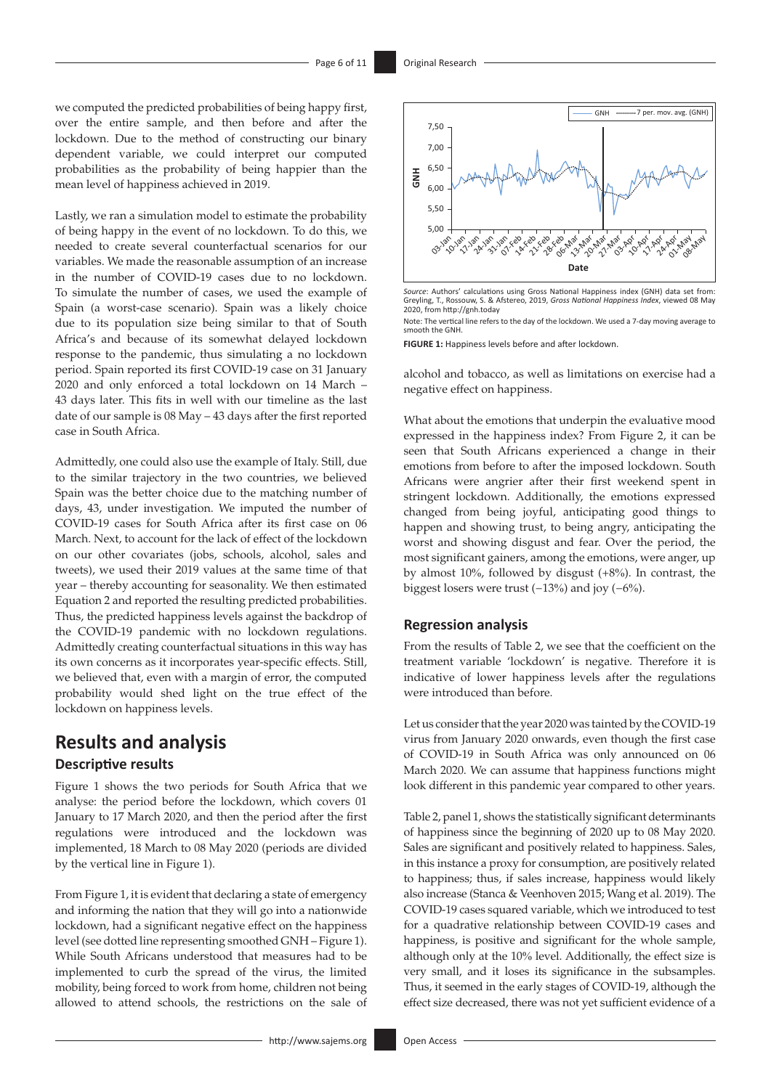we computed the predicted probabilities of being happy first, over the entire sample, and then before and after the lockdown. Due to the method of constructing our binary dependent variable, we could interpret our computed probabilities as the probability of being happier than the mean level of happiness achieved in 2019.

Lastly, we ran a simulation model to estimate the probability of being happy in the event of no lockdown. To do this, we needed to create several counterfactual scenarios for our variables. We made the reasonable assumption of an increase in the number of COVID-19 cases due to no lockdown. To simulate the number of cases, we used the example of Spain (a worst-case scenario). Spain was a likely choice due to its population size being similar to that of South Africa's and because of its somewhat delayed lockdown response to the pandemic, thus simulating a no lockdown period. Spain reported its first COVID-19 case on 31 January 2020 and only enforced a total lockdown on 14 March – 43 days later. This fits in well with our timeline as the last date of our sample is 08 May – 43 days after the first reported case in South Africa.

Admittedly, one could also use the example of Italy. Still, due to the similar trajectory in the two countries, we believed Spain was the better choice due to the matching number of days, 43, under investigation. We imputed the number of COVID-19 cases for South Africa after its first case on 06 March. Next, to account for the lack of effect of the lockdown on our other covariates (jobs, schools, alcohol, sales and tweets), we used their 2019 values at the same time of that year – thereby accounting for seasonality. We then estimated Equation 2 and reported the resulting predicted probabilities. Thus, the predicted happiness levels against the backdrop of the COVID-19 pandemic with no lockdown regulations. Admittedly creating counterfactual situations in this way has its own concerns as it incorporates year-specific effects. Still, we believed that, even with a margin of error, the computed probability would shed light on the true effect of the lockdown on happiness levels.

# **Results and analysis**

### **Descriptive results**

Figure 1 shows the two periods for South Africa that we analyse: the period before the lockdown, which covers 01 January to 17 March 2020, and then the period after the first regulations were introduced and the lockdown was implemented, 18 March to 08 May 2020 (periods are divided by the vertical line in Figure 1).

From Figure 1, it is evident that declaring a state of emergency and informing the nation that they will go into a nationwide lockdown, had a significant negative effect on the happiness level (see dotted line representing smoothed GNH – Figure 1). While South Africans understood that measures had to be implemented to curb the spread of the virus, the limited mobility, being forced to work from home, children not being allowed to attend schools, the restrictions on the sale of



*Source*: Authors' calculations using Gross National Happiness index (GNH) data set from: Greyling, T., Rossouw, S. & Afstereo, 2019, *Gross National Happiness Index*, viewed 08 May 2020, from<http://gnh.today>

Note: The vertical line refers to the day of the lockdown. We used a 7-day moving average to smooth the GNH.

**FIGURE 1:** Happiness levels before and after lockdown.

alcohol and tobacco, as well as limitations on exercise had a negative effect on happiness.

What about the emotions that underpin the evaluative mood expressed in the happiness index? From Figure 2, it can be seen that South Africans experienced a change in their emotions from before to after the imposed lockdown. South Africans were angrier after their first weekend spent in stringent lockdown. Additionally, the emotions expressed changed from being joyful, anticipating good things to happen and showing trust, to being angry, anticipating the worst and showing disgust and fear. Over the period, the most significant gainers, among the emotions, were anger, up by almost 10%, followed by disgust (+8%). In contrast, the biggest losers were trust (−13%) and joy (−6%).

#### **Regression analysis**

From the results of Table 2, we see that the coefficient on the treatment variable 'lockdown' is negative. Therefore it is indicative of lower happiness levels after the regulations were introduced than before.

Let us consider that the year 2020 was tainted by the COVID-19 virus from January 2020 onwards, even though the first case of COVID-19 in South Africa was only announced on 06 March 2020. We can assume that happiness functions might look different in this pandemic year compared to other years.

Table 2, panel 1, shows the statistically significant determinants of happiness since the beginning of 2020 up to 08 May 2020. Sales are significant and positively related to happiness. Sales, in this instance a proxy for consumption, are positively related to happiness; thus, if sales increase, happiness would likely also increase (Stanca & Veenhoven 2015; Wang et al. 2019). The COVID-19 cases squared variable, which we introduced to test for a quadrative relationship between COVID-19 cases and happiness, is positive and significant for the whole sample, although only at the 10% level. Additionally, the effect size is very small, and it loses its significance in the subsamples. Thus, it seemed in the early stages of COVID-19, although the effect size decreased, there was not yet sufficient evidence of a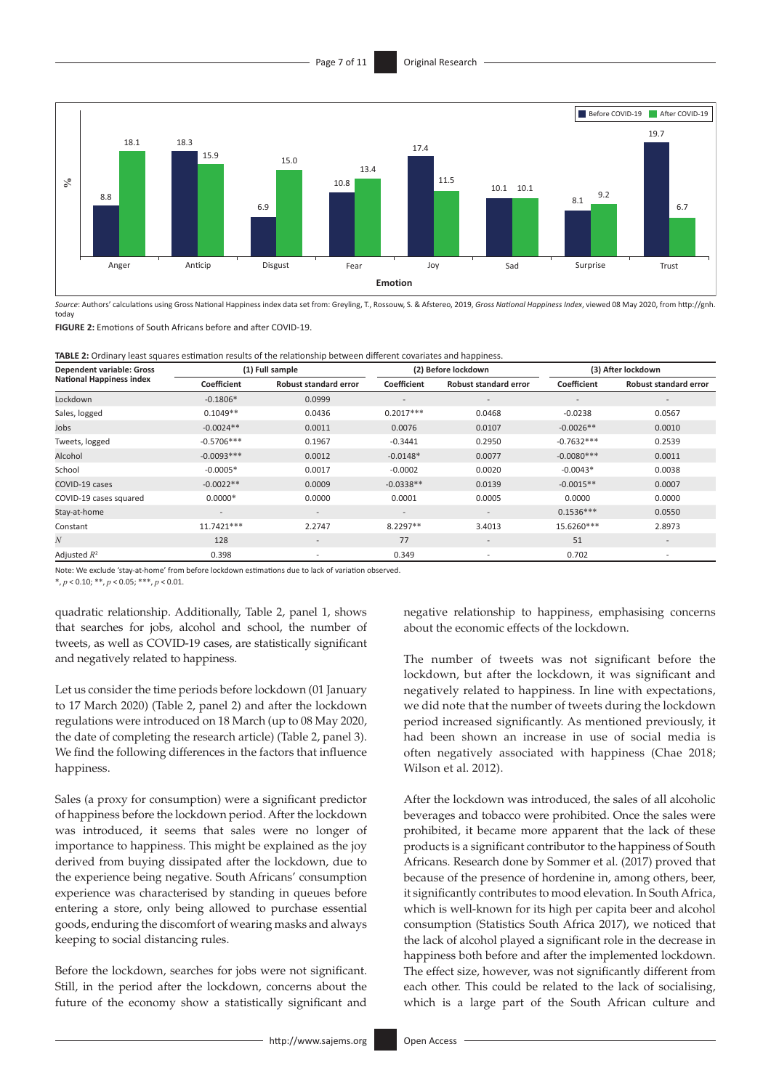

*Source*: Authors' calculations using Gross National Happiness index data set from: Greyling, T., Rossouw, S. & Afstereo, 2019, *Gross National Happiness Index*, viewed 08 May 2020, from [http://gnh.](http://gnh.today) [today](http://gnh.today)

**FIGURE 2:** Emotions of South Africans before and after COVID-19.

**TABLE 2:** Ordinary least squares estimation results of the relationship between different covariates and happiness.

| <b>Dependent variable: Gross</b> |                          | (1) Full sample              |                          | (2) Before lockdown      | (3) After lockdown       |                              |
|----------------------------------|--------------------------|------------------------------|--------------------------|--------------------------|--------------------------|------------------------------|
| <b>National Happiness index</b>  | Coefficient              | <b>Robust standard error</b> | Coefficient              | Robust standard error    | Coefficient              | <b>Robust standard error</b> |
| Lockdown                         | $-0.1806*$               | 0.0999                       | $\overline{\phantom{a}}$ | $\overline{\phantom{a}}$ | $\overline{\phantom{a}}$ | $\overline{\phantom{a}}$     |
| Sales, logged                    | $0.1049**$               | 0.0436                       | $0.2017***$              | 0.0468                   | $-0.0238$                | 0.0567                       |
| Jobs                             | $-0.0024**$              | 0.0011                       | 0.0076                   | 0.0107                   | $-0.0026**$              | 0.0010                       |
| Tweets, logged                   | $-0.5706***$             | 0.1967                       | $-0.3441$                | 0.2950                   | $-0.7632***$             | 0.2539                       |
| Alcohol                          | $-0.0093***$             | 0.0012                       | $-0.0148*$               | 0.0077                   | $-0.0080***$             | 0.0011                       |
| School                           | $-0.0005*$               | 0.0017                       | $-0.0002$                | 0.0020                   | $-0.0043*$               | 0.0038                       |
| COVID-19 cases                   | $-0.0022**$              | 0.0009                       | $-0.0338**$              | 0.0139                   | $-0.0015**$              | 0.0007                       |
| COVID-19 cases squared           | $0.0000*$                | 0.0000                       | 0.0001                   | 0.0005                   | 0.0000                   | 0.0000                       |
| Stay-at-home                     | $\overline{\phantom{a}}$ | ۰.                           | $\overline{\phantom{a}}$ | $\overline{\phantom{a}}$ | $0.1536***$              | 0.0550                       |
| Constant                         | 11.7421***               | 2.2747                       | 8.2297**                 | 3.4013                   | 15.6260***               | 2.8973                       |
| $\boldsymbol{N}$                 | 128                      | $\overline{\phantom{a}}$     | 77                       | $\overline{\phantom{a}}$ | 51                       | $\overline{\phantom{a}}$     |
| Adjusted $R^2$                   | 0.398                    | $\overline{\phantom{a}}$     | 0.349                    | $\overline{\phantom{a}}$ | 0.702                    | $\overline{\phantom{a}}$     |

Note: We exclude 'stay-at-home' from before lockdown estimations due to lack of variation observed.

\*, *p* < 0.10; \*\*, *p* < 0.05; \*\*\*, *p* < 0.01.

quadratic relationship. Additionally, Table 2, panel 1, shows that searches for jobs, alcohol and school, the number of tweets, as well as COVID-19 cases, are statistically significant and negatively related to happiness.

Let us consider the time periods before lockdown (01 January to 17 March 2020) (Table 2, panel 2) and after the lockdown regulations were introduced on 18 March (up to 08 May 2020, the date of completing the research article) (Table 2, panel 3). We find the following differences in the factors that influence happiness.

Sales (a proxy for consumption) were a significant predictor of happiness before the lockdown period. After the lockdown was introduced, it seems that sales were no longer of importance to happiness. This might be explained as the joy derived from buying dissipated after the lockdown, due to the experience being negative. South Africans' consumption experience was characterised by standing in queues before entering a store, only being allowed to purchase essential goods, enduring the discomfort of wearing masks and always keeping to social distancing rules.

Before the lockdown, searches for jobs were not significant. Still, in the period after the lockdown, concerns about the future of the economy show a statistically significant and

negative relationship to happiness, emphasising concerns about the economic effects of the lockdown.

The number of tweets was not significant before the lockdown, but after the lockdown, it was significant and negatively related to happiness. In line with expectations, we did note that the number of tweets during the lockdown period increased significantly. As mentioned previously, it had been shown an increase in use of social media is often negatively associated with happiness (Chae 2018; Wilson et al. 2012).

After the lockdown was introduced, the sales of all alcoholic beverages and tobacco were prohibited. Once the sales were prohibited, it became more apparent that the lack of these products is a significant contributor to the happiness of South Africans. Research done by Sommer et al. (2017) proved that because of the presence of hordenine in, among others, beer, it significantly contributes to mood elevation. In South Africa, which is well-known for its high per capita beer and alcohol consumption (Statistics South Africa 2017), we noticed that the lack of alcohol played a significant role in the decrease in happiness both before and after the implemented lockdown. The effect size, however, was not significantly different from each other. This could be related to the lack of socialising, which is a large part of the South African culture and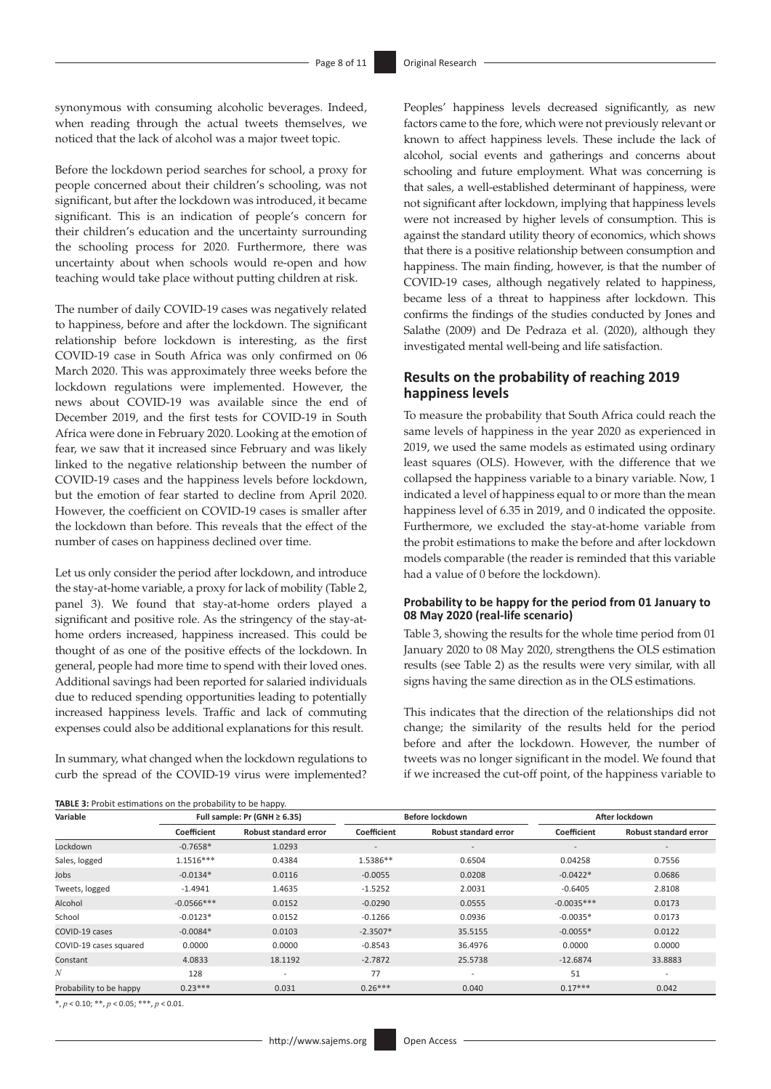synonymous with consuming alcoholic beverages. Indeed, when reading through the actual tweets themselves, we noticed that the lack of alcohol was a major tweet topic.

Before the lockdown period searches for school, a proxy for people concerned about their children's schooling, was not significant, but after the lockdown was introduced, it became significant. This is an indication of people's concern for their children's education and the uncertainty surrounding the schooling process for 2020. Furthermore, there was uncertainty about when schools would re-open and how teaching would take place without putting children at risk.

The number of daily COVID-19 cases was negatively related to happiness, before and after the lockdown. The significant relationship before lockdown is interesting, as the first COVID-19 case in South Africa was only confirmed on 06 March 2020. This was approximately three weeks before the lockdown regulations were implemented. However, the news about COVID-19 was available since the end of December 2019, and the first tests for COVID-19 in South Africa were done in February 2020. Looking at the emotion of fear, we saw that it increased since February and was likely linked to the negative relationship between the number of COVID-19 cases and the happiness levels before lockdown, but the emotion of fear started to decline from April 2020. However, the coefficient on COVID-19 cases is smaller after the lockdown than before. This reveals that the effect of the number of cases on happiness declined over time.

Let us only consider the period after lockdown, and introduce the stay-at-home variable, a proxy for lack of mobility (Table 2, panel 3). We found that stay-at-home orders played a significant and positive role. As the stringency of the stay-athome orders increased, happiness increased. This could be thought of as one of the positive effects of the lockdown. In general, people had more time to spend with their loved ones. Additional savings had been reported for salaried individuals due to reduced spending opportunities leading to potentially increased happiness levels. Traffic and lack of commuting expenses could also be additional explanations for this result.

In summary, what changed when the lockdown regulations to curb the spread of the COVID-19 virus were implemented? Peoples' happiness levels decreased significantly, as new factors came to the fore, which were not previously relevant or known to affect happiness levels. These include the lack of alcohol, social events and gatherings and concerns about schooling and future employment. What was concerning is that sales, a well-established determinant of happiness, were not significant after lockdown, implying that happiness levels were not increased by higher levels of consumption. This is against the standard utility theory of economics, which shows that there is a positive relationship between consumption and happiness. The main finding, however, is that the number of COVID-19 cases, although negatively related to happiness, became less of a threat to happiness after lockdown. This confirms the findings of the studies conducted by Jones and Salathe (2009) and De Pedraza et al. (2020), although they investigated mental well-being and life satisfaction.

### **Results on the probability of reaching 2019 happiness levels**

To measure the probability that South Africa could reach the same levels of happiness in the year 2020 as experienced in 2019, we used the same models as estimated using ordinary least squares (OLS). However, with the difference that we collapsed the happiness variable to a binary variable. Now, 1 indicated a level of happiness equal to or more than the mean happiness level of 6.35 in 2019, and 0 indicated the opposite. Furthermore, we excluded the stay-at-home variable from the probit estimations to make the before and after lockdown models comparable (the reader is reminded that this variable had a value of 0 before the lockdown).

#### **Probability to be happy for the period from 01 January to 08 May 2020 (real-life scenario)**

Table 3, showing the results for the whole time period from 01 January 2020 to 08 May 2020, strengthens the OLS estimation results (see Table 2) as the results were very similar, with all signs having the same direction as in the OLS estimations.

This indicates that the direction of the relationships did not change; the similarity of the results held for the period before and after the lockdown. However, the number of tweets was no longer significant in the model. We found that if we increased the cut-off point, of the happiness variable to

| <b>TABLE 3:</b> Probit estimations on the probability to be happy. |                                   |                              |                          |                          |                |                              |  |
|--------------------------------------------------------------------|-----------------------------------|------------------------------|--------------------------|--------------------------|----------------|------------------------------|--|
| Variable                                                           | Full sample: Pr (GNH $\geq$ 6.35) |                              |                          | Before lockdown          | After lockdown |                              |  |
|                                                                    | Coefficient                       | <b>Robust standard error</b> | Coefficient              | Robust standard error    | Coefficient    | <b>Robust standard error</b> |  |
| Lockdown                                                           | $-0.7658*$                        | 1.0293                       | $\overline{\phantom{a}}$ | $\overline{\phantom{a}}$ | Ξ.             | $\overline{\phantom{0}}$     |  |
| Sales, logged                                                      | $1.1516***$                       | 0.4384                       | 1.5386**                 | 0.6504                   | 0.04258        | 0.7556                       |  |
| Jobs                                                               | $-0.0134*$                        | 0.0116                       | $-0.0055$                | 0.0208                   | $-0.0422*$     | 0.0686                       |  |
| Tweets, logged                                                     | $-1.4941$                         | 1.4635                       | $-1.5252$                | 2.0031                   | $-0.6405$      | 2.8108                       |  |
| Alcohol                                                            | $-0.0566***$                      | 0.0152                       | $-0.0290$                | 0.0555                   | $-0.0035***$   | 0.0173                       |  |
| School                                                             | $-0.0123*$                        | 0.0152                       | $-0.1266$                | 0.0936                   | $-0.0035*$     | 0.0173                       |  |
| COVID-19 cases                                                     | $-0.0084*$                        | 0.0103                       | $-2.3507*$               | 35.5155                  | $-0.0055*$     | 0.0122                       |  |
| COVID-19 cases squared                                             | 0.0000                            | 0.0000                       | $-0.8543$                | 36.4976                  | 0.0000         | 0.0000                       |  |
| Constant                                                           | 4.0833                            | 18.1192                      | $-2.7872$                | 25.5738                  | $-12.6874$     | 33.8883                      |  |
| N                                                                  | 128                               | $\overline{\phantom{a}}$     | 77                       | $\overline{\phantom{a}}$ | 51             | $\overline{a}$               |  |
| Probability to be happy                                            | $0.23***$                         | 0.031                        | $0.26***$                | 0.040                    | $0.17***$      | 0.042                        |  |

\*, *p* < 0.10; \*\*, *p* < 0.05; \*\*\*, *p* < 0.01.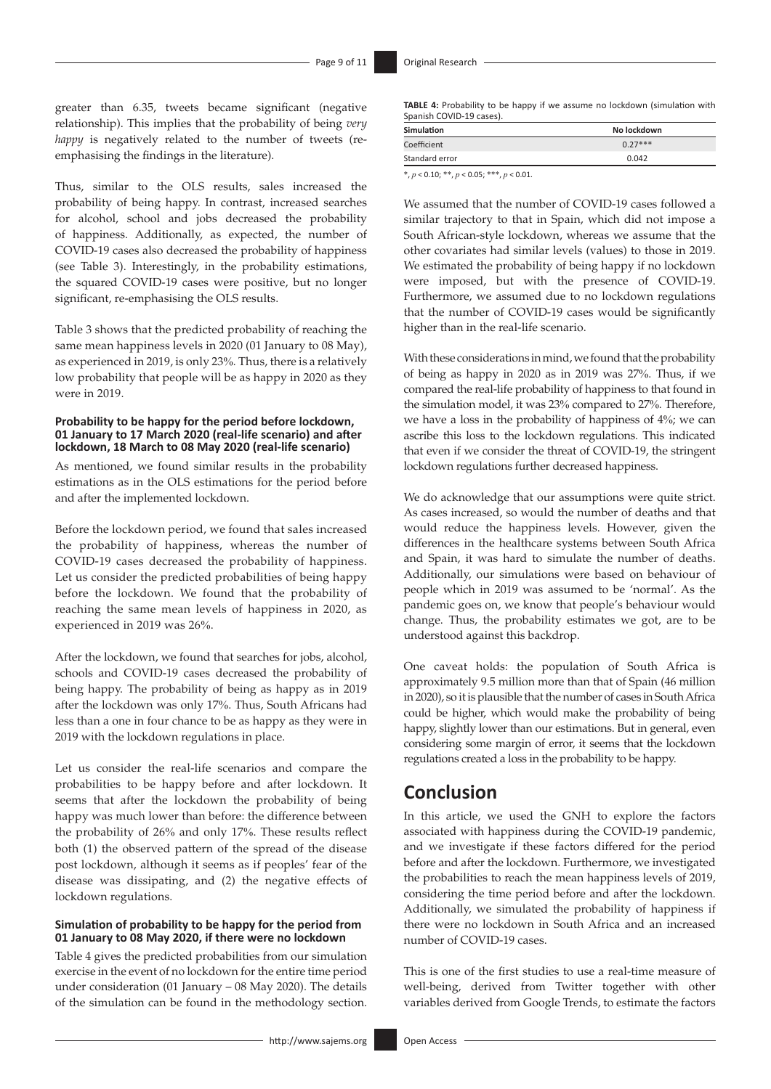greater than 6.35, tweets became significant (negative relationship). This implies that the probability of being *very happy* is negatively related to the number of tweets (reemphasising the findings in the literature).

Thus, similar to the OLS results, sales increased the probability of being happy. In contrast, increased searches for alcohol, school and jobs decreased the probability of happiness. Additionally, as expected, the number of COVID-19 cases also decreased the probability of happiness (see Table 3). Interestingly, in the probability estimations, the squared COVID-19 cases were positive, but no longer significant, re-emphasising the OLS results.

Table 3 shows that the predicted probability of reaching the same mean happiness levels in 2020 (01 January to 08 May), as experienced in 2019, is only 23%*.* Thus, there is a relatively low probability that people will be as happy in 2020 as they were in 2019.

#### **Probability to be happy for the period before lockdown, 01 January to 17 March 2020 (real-life scenario) and after lockdown, 18 March to 08 May 2020 (real-life scenario)**

As mentioned, we found similar results in the probability estimations as in the OLS estimations for the period before and after the implemented lockdown.

Before the lockdown period, we found that sales increased the probability of happiness, whereas the number of COVID-19 cases decreased the probability of happiness. Let us consider the predicted probabilities of being happy before the lockdown. We found that the probability of reaching the same mean levels of happiness in 2020, as experienced in 2019 was 26%.

After the lockdown, we found that searches for jobs, alcohol, schools and COVID-19 cases decreased the probability of being happy. The probability of being as happy as in 2019 after the lockdown was only 17%. Thus, South Africans had less than a one in four chance to be as happy as they were in 2019 with the lockdown regulations in place.

Let us consider the real-life scenarios and compare the probabilities to be happy before and after lockdown. It seems that after the lockdown the probability of being happy was much lower than before: the difference between the probability of 26% and only 17%. These results reflect both (1) the observed pattern of the spread of the disease post lockdown, although it seems as if peoples' fear of the disease was dissipating, and (2) the negative effects of lockdown regulations.

#### **Simulation of probability to be happy for the period from 01 January to 08 May 2020, if there were no lockdown**

Table 4 gives the predicted probabilities from our simulation exercise in the event of no lockdown for the entire time period under consideration (01 January – 08 May 2020). The details of the simulation can be found in the methodology section.

| <b>Simulation</b>                                  | No lockdown |
|----------------------------------------------------|-------------|
| Coefficient                                        | $0.27***$   |
| Standard error                                     | 0.042       |
| $* n > 0.10 \cdot ** n > 0.05 \cdot ** * n > 0.01$ |             |

\*, *p* < 0.10; \*\*, *p* < 0.05; \*\*\*, *p* < 0.01.

We assumed that the number of COVID-19 cases followed a similar trajectory to that in Spain, which did not impose a South African-style lockdown, whereas we assume that the other covariates had similar levels (values) to those in 2019. We estimated the probability of being happy if no lockdown were imposed, but with the presence of COVID-19. Furthermore, we assumed due to no lockdown regulations that the number of COVID-19 cases would be significantly higher than in the real-life scenario.

With these considerations in mind, we found that the probability of being as happy in 2020 as in 2019 was 27%. Thus, if we compared the real-life probability of happiness to that found in the simulation model, it was 23% compared to 27%. Therefore, we have a loss in the probability of happiness of 4%; we can ascribe this loss to the lockdown regulations. This indicated that even if we consider the threat of COVID-19, the stringent lockdown regulations further decreased happiness.

We do acknowledge that our assumptions were quite strict. As cases increased, so would the number of deaths and that would reduce the happiness levels. However, given the differences in the healthcare systems between South Africa and Spain, it was hard to simulate the number of deaths. Additionally, our simulations were based on behaviour of people which in 2019 was assumed to be 'normal'. As the pandemic goes on, we know that people's behaviour would change. Thus, the probability estimates we got, are to be understood against this backdrop.

One caveat holds: the population of South Africa is approximately 9.5 million more than that of Spain (46 million in 2020), so it is plausible that the number of cases in South Africa could be higher, which would make the probability of being happy, slightly lower than our estimations. But in general, even considering some margin of error, it seems that the lockdown regulations created a loss in the probability to be happy.

# **Conclusion**

In this article, we used the GNH to explore the factors associated with happiness during the COVID-19 pandemic, and we investigate if these factors differed for the period before and after the lockdown. Furthermore, we investigated the probabilities to reach the mean happiness levels of 2019, considering the time period before and after the lockdown. Additionally, we simulated the probability of happiness if there were no lockdown in South Africa and an increased number of COVID-19 cases.

This is one of the first studies to use a real-time measure of well-being, derived from Twitter together with other variables derived from Google Trends, to estimate the factors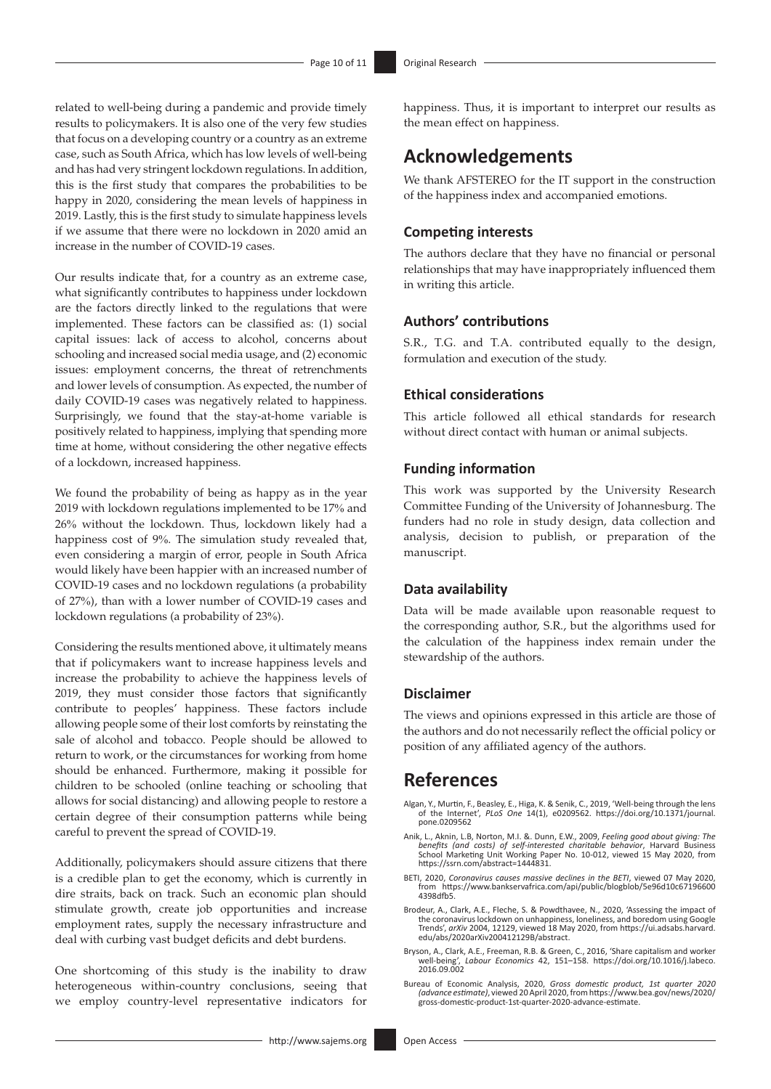related to well-being during a pandemic and provide timely results to policymakers. It is also one of the very few studies that focus on a developing country or a country as an extreme case, such as South Africa, which has low levels of well-being and has had very stringent lockdown regulations. In addition, this is the first study that compares the probabilities to be happy in 2020, considering the mean levels of happiness in 2019. Lastly, this is the first study to simulate happiness levels if we assume that there were no lockdown in 2020 amid an increase in the number of COVID-19 cases.

Our results indicate that, for a country as an extreme case, what significantly contributes to happiness under lockdown are the factors directly linked to the regulations that were implemented. These factors can be classified as: (1) social capital issues: lack of access to alcohol, concerns about schooling and increased social media usage, and (2) economic issues: employment concerns, the threat of retrenchments and lower levels of consumption. As expected, the number of daily COVID-19 cases was negatively related to happiness. Surprisingly, we found that the stay-at-home variable is positively related to happiness, implying that spending more time at home, without considering the other negative effects of a lockdown, increased happiness.

We found the probability of being as happy as in the year 2019 with lockdown regulations implemented to be 17% and 26% without the lockdown. Thus, lockdown likely had a happiness cost of 9%. The simulation study revealed that, even considering a margin of error, people in South Africa would likely have been happier with an increased number of COVID-19 cases and no lockdown regulations (a probability of 27%), than with a lower number of COVID-19 cases and lockdown regulations (a probability of 23%).

Considering the results mentioned above, it ultimately means that if policymakers want to increase happiness levels and increase the probability to achieve the happiness levels of 2019, they must consider those factors that significantly contribute to peoples' happiness. These factors include allowing people some of their lost comforts by reinstating the sale of alcohol and tobacco. People should be allowed to return to work, or the circumstances for working from home should be enhanced. Furthermore, making it possible for children to be schooled (online teaching or schooling that allows for social distancing) and allowing people to restore a certain degree of their consumption patterns while being careful to prevent the spread of COVID-19.

Additionally, policymakers should assure citizens that there is a credible plan to get the economy, which is currently in dire straits, back on track. Such an economic plan should stimulate growth, create job opportunities and increase employment rates, supply the necessary infrastructure and deal with curbing vast budget deficits and debt burdens.

One shortcoming of this study is the inability to draw heterogeneous within-country conclusions, seeing that we employ country-level representative indicators for

happiness. Thus, it is important to interpret our results as the mean effect on happiness.

# **Acknowledgements**

We thank AFSTEREO for the IT support in the construction of the happiness index and accompanied emotions.

### **Competing interests**

The authors declare that they have no financial or personal relationships that may have inappropriately influenced them in writing this article.

### **Authors' contributions**

S.R., T.G. and T.A. contributed equally to the design, formulation and execution of the study.

### **Ethical considerations**

This article followed all ethical standards for research without direct contact with human or animal subjects.

#### **Funding information**

This work was supported by the University Research Committee Funding of the University of Johannesburg. The funders had no role in study design, data collection and analysis, decision to publish, or preparation of the manuscript.

#### **Data availability**

Data will be made available upon reasonable request to the corresponding author, S.R., but the algorithms used for the calculation of the happiness index remain under the stewardship of the authors.

#### **Disclaimer**

The views and opinions expressed in this article are those of the authors and do not necessarily reflect the official policy or position of any affiliated agency of the authors.

## **References**

- Algan, Y., Murtin, F., Beasley, E., Higa, K. & Senik, C., 2019, 'Well-being through the lens of the Internet', *PLoS One* 14(1), e0209562. [https://doi.org/10.1371/journal.](https://doi.org/10.1371/journal.pone.0209562) [pone.0209562](https://doi.org/10.1371/journal.pone.0209562)
- Anik, L., Aknin, L.B, Norton, M.I. &. Dunn, E.W., 2009, *Feeling good about giving: The*<br>benefits (and costs) of self-interested charitable behavior, Harvard Business<br>School Marketing Unit Working Paper No. 10-012, <https://ssrn.com/abstract=1444831>.
- BETI, 2020, *Coronavirus causes massive declines in the BETI*, viewed 07 May 2020, from [https://www.bankservafrica.com/api/public/blogblob/5e96d10c67196600](https://www.bankservafrica.com/api/public/blogblob/5e96d10c671966004398dfb5) [4398dfb5](https://www.bankservafrica.com/api/public/blogblob/5e96d10c671966004398dfb5).
- Brodeur, A., Clark, A.E., Fleche, S. & Powdthavee, N., 2020, 'Assessing the impact of the coronavirus lockdown on unhappiness, loneliness, and boredom using Google Trends', *arXiv* 2004, 12129, viewed 18 May 2020, from [https://ui.adsabs.harvard.](https://ui.adsabs.harvard.edu/abs/2020arXiv200412129B/abstract) [edu/abs/2020arXiv200412129B/abstract.](https://ui.adsabs.harvard.edu/abs/2020arXiv200412129B/abstract)
- Bryson, A., Clark, A.E., Freeman, R.B. & Green, C., 2016, 'Share capitalism and worker well-being', *Labour Economics* 42, 151–158. [https://doi.org/10.1016/j.labeco.](https://doi.org/10.1016/j.labeco.2016.09.002) [2016.09.002](https://doi.org/10.1016/j.labeco.2016.09.002)
- Bureau of Economic Analysis, 2020, Gross domestic product, 1st quarter 2020<br>(advance estimate), viewed 20 April 2020, from [https://www.bea.gov/news/2020/](https://www.bea.gov/news/2020/gross-domestic-product-1st-quarter-2020-advance-estimate)<br>[gross-domestic-product-1st-quarter-2020-advance-estimate.](https://www.bea.gov/news/2020/gross-domestic-product-1st-quarter-2020-advance-estimate)